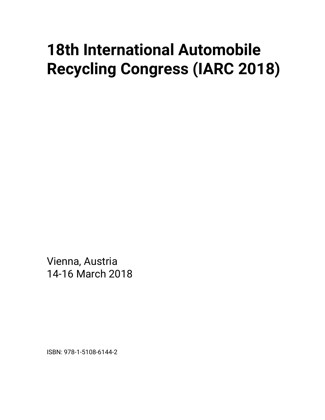## **18th International Automobile Recycling Congress (IARC 2018)**

Vienna, Austria 14-16 March 2018

ISBN: 978-1-5108-6144-2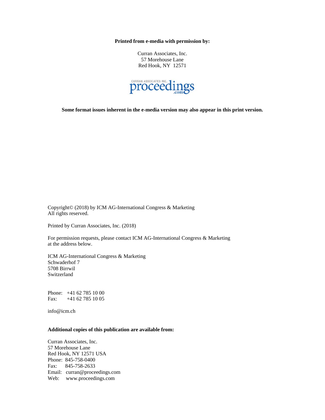**Printed from e-media with permission by:** 

Curran Associates, Inc. 57 Morehouse Lane Red Hook, NY 12571



**Some format issues inherent in the e-media version may also appear in this print version.** 

Copyright© (2018) by ICM AG-International Congress & Marketing All rights reserved.

Printed by Curran Associates, Inc. (2018)

For permission requests, please contact ICM AG-International Congress & Marketing at the address below.

ICM AG-International Congress & Marketing Schwaderhof 7 5708 Birrwil Switzerland

Phone: +41 62 785 10 00 Fax: +41 62 785 10 05

info@icm.ch

## **Additional copies of this publication are available from:**

Curran Associates, Inc. 57 Morehouse Lane Red Hook, NY 12571 USA Phone: 845-758-0400 Fax: 845-758-2633 Email: curran@proceedings.com Web: www.proceedings.com